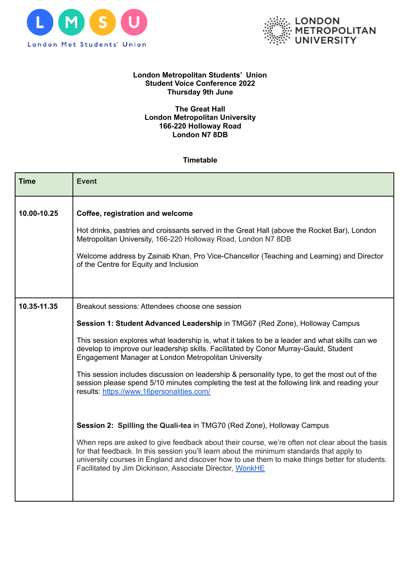



## **London Metropolitan Students' Union Student Voice Conference 2022 Thursday 9th June**

## **The Great Hall London Metropolitan University 166-220 Holloway Road London N7 8DB**

## **Timetable**

| <b>Time</b> | <b>Event</b>                                                                                                                                                                                                                                                                                                                                                                                                                                                                                                                                                                                                                                                                                            |
|-------------|---------------------------------------------------------------------------------------------------------------------------------------------------------------------------------------------------------------------------------------------------------------------------------------------------------------------------------------------------------------------------------------------------------------------------------------------------------------------------------------------------------------------------------------------------------------------------------------------------------------------------------------------------------------------------------------------------------|
| 10.00-10.25 | Coffee, registration and welcome<br>Hot drinks, pastries and croissants served in the Great Hall (above the Rocket Bar), London<br>Metropolitan University, 166-220 Holloway Road, London N7 8DB<br>Welcome address by Zainab Khan, Pro Vice-Chancellor (Teaching and Learning) and Director<br>of the Centre for Equity and Inclusion                                                                                                                                                                                                                                                                                                                                                                  |
| 10.35-11.35 | Breakout sessions: Attendees choose one session<br>Session 1: Student Advanced Leadership in TMG67 (Red Zone), Holloway Campus<br>This session explores what leadership is, what it takes to be a leader and what skills can we<br>develop to improve our leadership skills. Facilitated by Conor Murray-Gauld, Student<br>Engagement Manager at London Metropolitan University<br>This session includes discussion on leadership & personality type, to get the most out of the<br>session please spend 5/10 minutes completing the test at the following link and reading your<br>results: https://www.16personalities.com/<br>Session 2: Spilling the Quali-tea in TMG70 (Red Zone), Holloway Campus |
|             | When reps are asked to give feedback about their course, we're often not clear about the basis<br>for that feedback. In this session you'll learn about the minimum standards that apply to<br>university courses in England and discover how to use them to make things better for students.<br>Facilitated by Jim Dickinson, Associate Director, WonkHE                                                                                                                                                                                                                                                                                                                                               |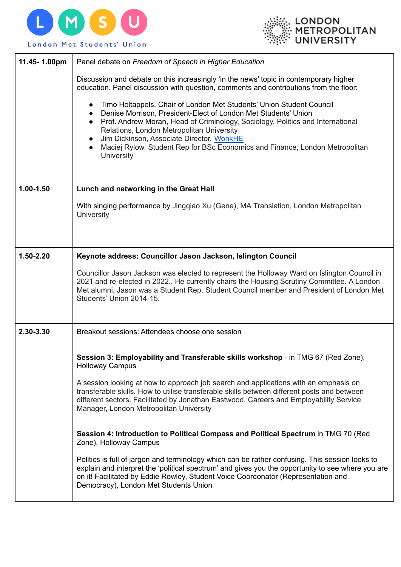



| 11.45-1.00pm  | Panel debate on Freedom of Speech in Higher Education                                                                                                                                                                                                                                                                                                                                                                   |
|---------------|-------------------------------------------------------------------------------------------------------------------------------------------------------------------------------------------------------------------------------------------------------------------------------------------------------------------------------------------------------------------------------------------------------------------------|
|               | Discussion and debate on this increasingly 'in the news' topic in contemporary higher<br>education. Panel discussion with question, comments and contributions from the floor:                                                                                                                                                                                                                                          |
|               | Timo Holtappels, Chair of London Met Students' Union Student Council<br>Denise Morrison, President-Elect of London Met Students' Union<br>Prof. Andrew Moran, Head of Criminology, Sociology, Politics and International<br>Relations, London Metropolitan University<br>Jim Dickinson, Associate Director, WonkHE<br>Maciej Rylow, Student Rep for BSc Economics and Finance, London Metropolitan<br><b>University</b> |
| $1.00 - 1.50$ | Lunch and networking in the Great Hall                                                                                                                                                                                                                                                                                                                                                                                  |
|               | With singing performance by Jingqiao Xu (Gene), MA Translation, London Metropolitan<br><b>University</b>                                                                                                                                                                                                                                                                                                                |
| 1.50-2.20     | Keynote address: Councillor Jason Jackson, Islington Council                                                                                                                                                                                                                                                                                                                                                            |
|               | Councillor Jason Jackson was elected to represent the Holloway Ward on Islington Council in<br>2021 and re-elected in 2022 He currently chairs the Housing Scrutiny Committee. A London<br>Met alumni, Jason was a Student Rep, Student Council member and President of London Met<br>Students' Union 2014-15.                                                                                                          |
| 2.30-3.30     | Breakout sessions: Attendees choose one session                                                                                                                                                                                                                                                                                                                                                                         |
|               | Session 3: Employability and Transferable skills workshop - in TMG 67 (Red Zone),<br><b>Holloway Campus</b>                                                                                                                                                                                                                                                                                                             |
|               | A session looking at how to approach job search and applications with an emphasis on<br>transferable skills. How to utilise transferable skills between different posts and between<br>different sectors. Facilitated by Jonathan Eastwood, Careers and Employability Service<br>Manager, London Metropolitan University                                                                                                |
|               | Session 4: Introduction to Political Compass and Political Spectrum in TMG 70 (Red<br>Zone), Holloway Campus                                                                                                                                                                                                                                                                                                            |
|               | Politics is full of jargon and terminology which can be rather confusing. This session looks to<br>explain and interpret the 'political spectrum' and gives you the opportunity to see where you are<br>on it! Facilitated by Eddie Rowley, Student Voice Coordonator (Representation and<br>Democracy), London Met Students Union                                                                                      |